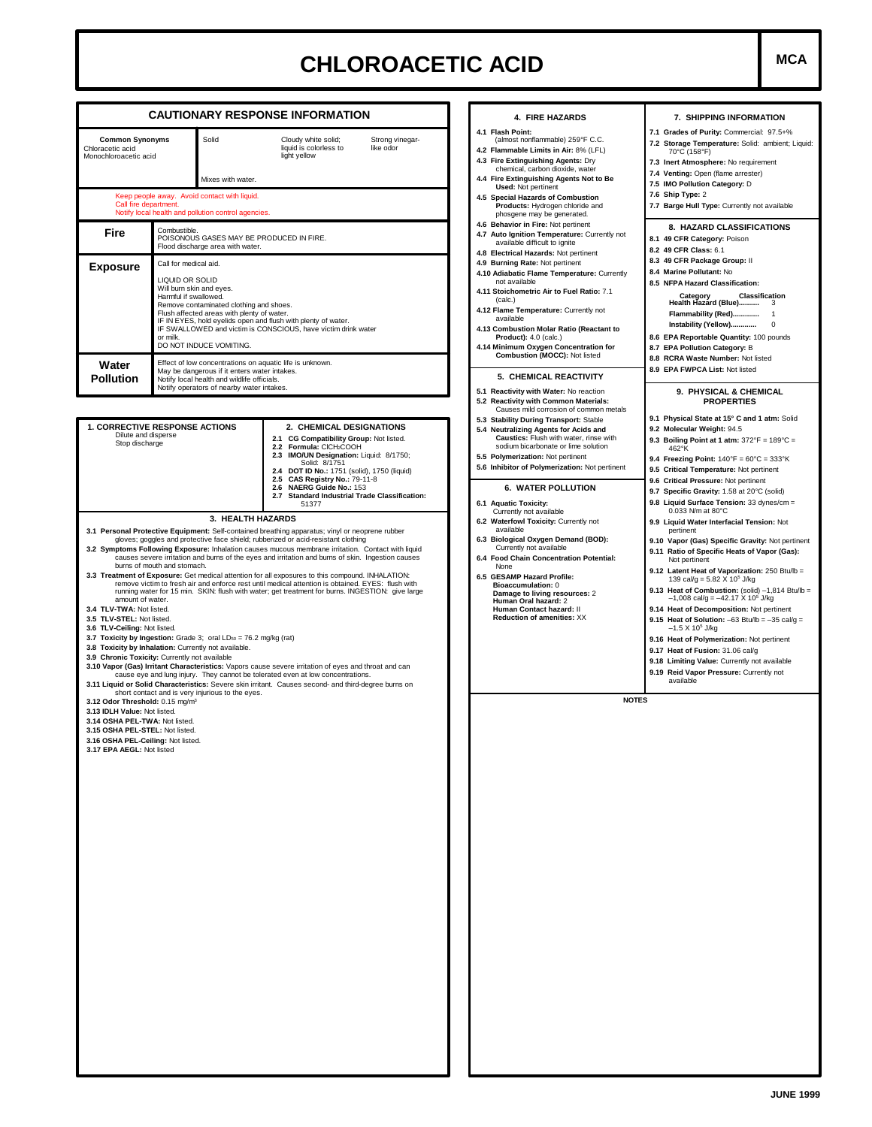## **CHLOROACETIC ACID MCA**

|                                                                                                                                                                                                                                                                                                                                                                    |                                                                                                                                                                                                                                                                                    | <b>CAUTIONARY RESPONSE INFORMATION</b>                                                                                                                                                                                                                                                                                                                                                                                                                                                                                                                                                                                                                                                                                                                                                                                                                                                                                                                                                                          | 4. FIRE HAZARDS                                                                                                                                                                                                                                                                                                                                                                                  | 7. SHIPPING INFORMATION                                                                                                                                                                                                                                                                                                                                                                                                                                                                                                                                                                                                                             |  |  |
|--------------------------------------------------------------------------------------------------------------------------------------------------------------------------------------------------------------------------------------------------------------------------------------------------------------------------------------------------------------------|------------------------------------------------------------------------------------------------------------------------------------------------------------------------------------------------------------------------------------------------------------------------------------|-----------------------------------------------------------------------------------------------------------------------------------------------------------------------------------------------------------------------------------------------------------------------------------------------------------------------------------------------------------------------------------------------------------------------------------------------------------------------------------------------------------------------------------------------------------------------------------------------------------------------------------------------------------------------------------------------------------------------------------------------------------------------------------------------------------------------------------------------------------------------------------------------------------------------------------------------------------------------------------------------------------------|--------------------------------------------------------------------------------------------------------------------------------------------------------------------------------------------------------------------------------------------------------------------------------------------------------------------------------------------------------------------------------------------------|-----------------------------------------------------------------------------------------------------------------------------------------------------------------------------------------------------------------------------------------------------------------------------------------------------------------------------------------------------------------------------------------------------------------------------------------------------------------------------------------------------------------------------------------------------------------------------------------------------------------------------------------------------|--|--|
| <b>Common Synonyms</b><br>Solid<br>Chloracetic acid<br>Monochloroacetic acid<br>Mixes with water.                                                                                                                                                                                                                                                                  |                                                                                                                                                                                                                                                                                    | Cloudy white solid;<br>Strong vinegar-<br>liquid is colorless to<br>like odor<br>light yellow                                                                                                                                                                                                                                                                                                                                                                                                                                                                                                                                                                                                                                                                                                                                                                                                                                                                                                                   | 4.1 Flash Point:<br>(almost nonflammable) 259°F C.C.<br>4.2 Flammable Limits in Air: 8% (LFL)<br>4.3 Fire Extinguishing Agents: Dry<br>chemical, carbon dioxide, water<br>4.4 Fire Extinguishing Agents Not to Be                                                                                                                                                                                | 7.1 Grades of Purity: Commercial: 97.5+%<br>7.2 Storage Temperature: Solid: ambient; Liquid:<br>70°C (158°F)<br>7.3 Inert Atmosphere: No requirement<br>7.4 Venting: Open (flame arrester)<br>7.5 IMO Pollution Category: D                                                                                                                                                                                                                                                                                                                                                                                                                         |  |  |
| Call fire department.                                                                                                                                                                                                                                                                                                                                              | Keep people away. Avoid contact with liquid.<br>Notify local health and pollution control agencies.                                                                                                                                                                                |                                                                                                                                                                                                                                                                                                                                                                                                                                                                                                                                                                                                                                                                                                                                                                                                                                                                                                                                                                                                                 | <b>Used: Not pertinent</b><br>4.5 Special Hazards of Combustion<br>Products: Hydrogen chloride and<br>phosgene may be generated.                                                                                                                                                                                                                                                                 | 7.6 Ship Type: 2<br>7.7 Barge Hull Type: Currently not available                                                                                                                                                                                                                                                                                                                                                                                                                                                                                                                                                                                    |  |  |
| Fire                                                                                                                                                                                                                                                                                                                                                               | Combustible.<br>POISONOUS GASES MAY BE PRODUCED IN FIRE.<br>Flood discharge area with water.                                                                                                                                                                                       |                                                                                                                                                                                                                                                                                                                                                                                                                                                                                                                                                                                                                                                                                                                                                                                                                                                                                                                                                                                                                 | 4.6 Behavior in Fire: Not pertinent<br>4.7 Auto Ignition Temperature: Currently not<br>available difficult to ignite<br>4.8 Electrical Hazards: Not pertinent                                                                                                                                                                                                                                    | 8. HAZARD CLASSIFICATIONS<br>8.1 49 CFR Category: Poison<br>8.2 49 CFR Class: 6.1<br>8.3 49 CFR Package Group: II<br>8.4 Marine Pollutant: No<br>8.5 NFPA Hazard Classification:<br><b>Classification</b><br>Category<br>Health Hazard (Blue) 3<br>Instability (Yellow)<br>$\overline{\phantom{0}}$<br>8.6 EPA Reportable Quantity: 100 pounds<br>8.7 EPA Pollution Category: B<br>8.8 RCRA Waste Number: Not listed                                                                                                                                                                                                                                |  |  |
| <b>Exposure</b><br>or milk.                                                                                                                                                                                                                                                                                                                                        | Call for medical aid.<br>LIQUID OR SOLID<br>Will burn skin and eyes.<br>Harmful if swallowed.<br>Remove contaminated clothing and shoes.<br>Flush affected areas with plenty of water.<br>IF IN EYES, hold eyelids open and flush with plenty of water.<br>DO NOT INDUCE VOMITING. | IF SWALLOWED and victim is CONSCIOUS, have victim drink water                                                                                                                                                                                                                                                                                                                                                                                                                                                                                                                                                                                                                                                                                                                                                                                                                                                                                                                                                   | 4.9 Burning Rate: Not pertinent<br>4.10 Adiabatic Flame Temperature: Currently<br>not available<br>4.11 Stoichometric Air to Fuel Ratio: 7.1<br>(calc.)<br>4.12 Flame Temperature: Currently not<br>available<br>4.13 Combustion Molar Ratio (Reactant to<br><b>Product):</b> 4.0 (calc.)<br>4.14 Minimum Oxygen Concentration for<br>Combustion (MOCC): Not listed                              |                                                                                                                                                                                                                                                                                                                                                                                                                                                                                                                                                                                                                                                     |  |  |
| Effect of low concentrations on aquatic life is unknown.<br>Water<br>May be dangerous if it enters water intakes.<br><b>Pollution</b><br>Notify local health and wildlife officials.<br>Notify operators of nearby water intakes.                                                                                                                                  |                                                                                                                                                                                                                                                                                    |                                                                                                                                                                                                                                                                                                                                                                                                                                                                                                                                                                                                                                                                                                                                                                                                                                                                                                                                                                                                                 | 5. CHEMICAL REACTIVITY<br>5.1 Reactivity with Water: No reaction                                                                                                                                                                                                                                                                                                                                 | 8.9 EPA FWPCA List: Not listed<br>9. PHYSICAL & CHEMICAL                                                                                                                                                                                                                                                                                                                                                                                                                                                                                                                                                                                            |  |  |
| 1. CORRECTIVE RESPONSE ACTIONS<br>Dilute and disperse<br>Stop discharge                                                                                                                                                                                                                                                                                            |                                                                                                                                                                                                                                                                                    | 2. CHEMICAL DESIGNATIONS<br>2.1 CG Compatibility Group: Not listed.<br>2.2 Formula: CICH2COOH<br>2.3 IMO/UN Designation: Liquid: 8/1750;<br>Solid: 8/1751<br>2.4 DOT ID No.: 1751 (solid), 1750 (liquid)<br>2.5 CAS Registry No.: 79-11-8<br>2.6 NAERG Guide No.: 153<br>2.7 Standard Industrial Trade Classification:<br>51377                                                                                                                                                                                                                                                                                                                                                                                                                                                                                                                                                                                                                                                                                 | 5.2 Reactivity with Common Materials:<br>Causes mild corrosion of common metals<br>5.3 Stability During Transport: Stable<br>5.4 Neutralizing Agents for Acids and<br>Caustics: Flush with water, rinse with<br>sodium bicarbonate or lime solution<br>5.5 Polymerization: Not pertinent<br>5.6 Inhibitor of Polymerization: Not pertinent<br><b>6. WATER POLLUTION</b><br>6.1 Aquatic Toxicity: | <b>PROPERTIES</b><br>9.1 Physical State at 15° C and 1 atm: Solid<br>9.2 Molecular Weight: 94.5<br>9.3 Boiling Point at 1 atm: $372^{\circ}F = 189^{\circ}C =$<br>462°K<br>9.4 Freezing Point: $140^{\circ}F = 60^{\circ}C = 333^{\circ}K$<br>9.5 Critical Temperature: Not pertinent<br>9.6 Critical Pressure: Not pertinent<br>9.7 Specific Gravity: 1.58 at 20°C (solid)<br>9.8 Liquid Surface Tension: 33 dynes/cm =                                                                                                                                                                                                                            |  |  |
| burns of mouth and stomach.<br>amount of water.<br>3.4 TLV-TWA: Not listed.<br>3.5 TLV-STEL: Not listed.<br>3.6 TLV-Ceiling: Not listed.<br>3.8 Toxicity by Inhalation: Currently not available.<br>3.9 Chronic Toxicity: Currently not available<br>3.12 Odor Threshold: 0.15 mg/m <sup>3</sup><br>3.13 IDLH Value: Not listed.<br>3.14 OSHA PEL-TWA: Not listed. | 3.7 Toxicity by Ingestion: Grade 3; oral LDso = 76.2 mg/kg (rat)<br>short contact and is very injurious to the eyes.                                                                                                                                                               | 3.1 Personal Protective Equipment: Self-contained breathing apparatus; vinyl or neoprene rubber<br>gloves; goggles and protective face shield; rubberized or acid-resistant clothing<br>3.2 Symptoms Following Exposure: Inhalation causes mucous membrane irritation. Contact with liquid<br>causes severe irritation and burns of the eyes and irritation and burns of skin. Ingestion causes<br>3.3 Treatment of Exposure: Get medical attention for all exposures to this compound. INHALATION:<br>remove victim to fresh air and enforce rest until medical attention is obtained. EYES: flush with<br>running water for 15 min. SKIN: flush with water; get treatment for burns. INGESTION: give large<br>3.10 Vapor (Gas) Irritant Characteristics: Vapors cause severe irritation of eyes and throat and can<br>cause eye and lung injury. They cannot be tolerated even at low concentrations.<br>3.11 Liquid or Solid Characteristics: Severe skin irritant. Causes second- and third-degree burns on | 6.3 Biological Oxygen Demand (BOD):<br>Currently not available<br>6.4 Food Chain Concentration Potential:<br>None<br>6.5 GESAMP Hazard Profile:<br>Bioaccumulation: 0<br>Damage to living resources: 2<br>Human Oral hazard: 2<br>Human Contact hazard: II<br>Reduction of amenities: XX<br><b>NOTES</b>                                                                                         | 9.10 Vapor (Gas) Specific Gravity: Not pertinent<br>9.11 Ratio of Specific Heats of Vapor (Gas):<br>Not pertinent<br>9.12 Latent Heat of Vaporization: 250 Btu/lb =<br>139 cal/g = $5.82 \times 10^5$ J/kg<br>9.13 Heat of Combustion: (solid) $-1,814$ Btu/lb =<br>$-1,008$ cal/g = $-42.17$ X 10 <sup>5</sup> J/kg<br>9.14 Heat of Decomposition: Not pertinent<br>9.15 Heat of Solution: $-63$ Btu/lb = $-35$ cal/g =<br>$-1.5$ X 10 <sup>5</sup> J/kg<br>9.16 Heat of Polymerization: Not pertinent<br>9.17 Heat of Fusion: 31.06 cal/g<br>9.18 Limiting Value: Currently not available<br>9.19 Reid Vapor Pressure: Currently not<br>available |  |  |
| 3.15 OSHA PEL-STEL: Not listed.<br>3.16 OSHA PEL-Ceiling: Not listed.<br>3.17 EPA AEGL: Not listed                                                                                                                                                                                                                                                                 |                                                                                                                                                                                                                                                                                    |                                                                                                                                                                                                                                                                                                                                                                                                                                                                                                                                                                                                                                                                                                                                                                                                                                                                                                                                                                                                                 |                                                                                                                                                                                                                                                                                                                                                                                                  |                                                                                                                                                                                                                                                                                                                                                                                                                                                                                                                                                                                                                                                     |  |  |